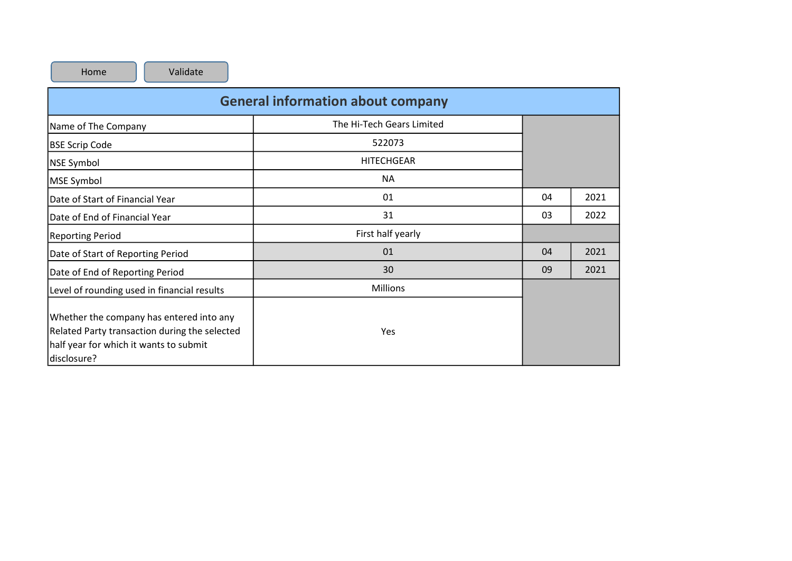| Home<br>Validate                                                                                                                                   |                           |    |      |  |  |  |  |  |  |  |  |
|----------------------------------------------------------------------------------------------------------------------------------------------------|---------------------------|----|------|--|--|--|--|--|--|--|--|
| <b>General information about company</b>                                                                                                           |                           |    |      |  |  |  |  |  |  |  |  |
| Name of The Company                                                                                                                                | The Hi-Tech Gears Limited |    |      |  |  |  |  |  |  |  |  |
| <b>BSE Scrip Code</b>                                                                                                                              | 522073                    |    |      |  |  |  |  |  |  |  |  |
| NSE Symbol                                                                                                                                         | <b>HITECHGEAR</b>         |    |      |  |  |  |  |  |  |  |  |
| MSE Symbol                                                                                                                                         | <b>NA</b>                 |    |      |  |  |  |  |  |  |  |  |
| Date of Start of Financial Year                                                                                                                    | 01                        | 04 | 2021 |  |  |  |  |  |  |  |  |
| Date of End of Financial Year                                                                                                                      | 31                        | 03 | 2022 |  |  |  |  |  |  |  |  |
| <b>Reporting Period</b>                                                                                                                            | First half yearly         |    |      |  |  |  |  |  |  |  |  |
| Date of Start of Reporting Period                                                                                                                  | 01                        | 04 | 2021 |  |  |  |  |  |  |  |  |
| Date of End of Reporting Period                                                                                                                    | 30                        | 09 | 2021 |  |  |  |  |  |  |  |  |
| Level of rounding used in financial results                                                                                                        | <b>Millions</b>           |    |      |  |  |  |  |  |  |  |  |
| Whether the company has entered into any<br>Related Party transaction during the selected<br>half year for which it wants to submit<br>disclosure? | Yes                       |    |      |  |  |  |  |  |  |  |  |